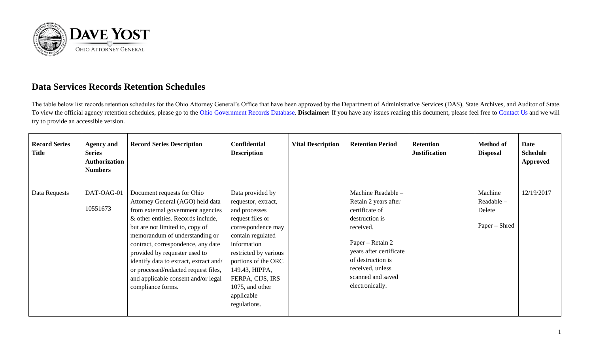

## **Data Services Records Retention Schedules**

The table below list records retention schedules for the Ohio Attorney General's Office that have been approved by the Department of Administrative Services (DAS), State Archives, and Auditor of State. To view the official agency retention schedules, please go to the [Ohio Government Records Database.](https://apps.das.ohio.gov/RIMS/GeneralSchedule) **Disclaimer:** If you have any issues reading this document, please feel free to [Contact Us](https://www.ohioattorneygeneral.gov/About-AG/Contact) and we will try to provide an accessible version.

| <b>Record Series</b><br><b>Title</b> | <b>Agency and</b><br><b>Series</b><br>Authorization<br><b>Numbers</b> | <b>Record Series Description</b>                                                                                                                                                                                                                                                                                                                                                                                                    | <b>Confidential</b><br><b>Description</b>                                                                                                                                                                                                                                     | <b>Vital Description</b> | <b>Retention Period</b>                                                                                                                                                                                                     | <b>Retention</b><br><b>Justification</b> | <b>Method of</b><br><b>Disposal</b>              | Date<br><b>Schedule</b><br><b>Approved</b> |
|--------------------------------------|-----------------------------------------------------------------------|-------------------------------------------------------------------------------------------------------------------------------------------------------------------------------------------------------------------------------------------------------------------------------------------------------------------------------------------------------------------------------------------------------------------------------------|-------------------------------------------------------------------------------------------------------------------------------------------------------------------------------------------------------------------------------------------------------------------------------|--------------------------|-----------------------------------------------------------------------------------------------------------------------------------------------------------------------------------------------------------------------------|------------------------------------------|--------------------------------------------------|--------------------------------------------|
| Data Requests                        | DAT-OAG-01<br>10551673                                                | Document requests for Ohio<br>Attorney General (AGO) held data<br>from external government agencies<br>& other entities. Records include,<br>but are not limited to, copy of<br>memorandum of understanding or<br>contract, correspondence, any date<br>provided by requester used to<br>identify data to extract, extract and/<br>or processed/redacted request files,<br>and applicable consent and/or legal<br>compliance forms. | Data provided by<br>requestor, extract,<br>and processes<br>request files or<br>correspondence may<br>contain regulated<br>information<br>restricted by various<br>portions of the ORC<br>149.43, HIPPA,<br>FERPA, CIJS, IRS<br>1075, and other<br>applicable<br>regulations. |                          | Machine Readable -<br>Retain 2 years after<br>certificate of<br>destruction is<br>received.<br>Paper – Retain 2<br>years after certificate<br>of destruction is<br>received, unless<br>scanned and saved<br>electronically. |                                          | Machine<br>Readable –<br>Delete<br>Paper – Shred | 12/19/2017                                 |